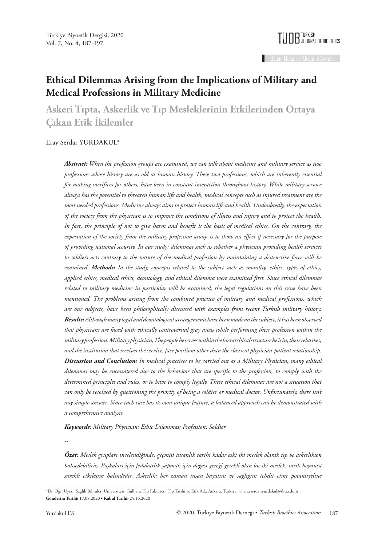

# **Ethical Dilemmas Arising from the Implications of Military and Medical Professions in Military Medicine**

**Askeri Tıpta, Askerlik ve Tıp Mesleklerinin Etkilerinden Ortaya Çıkan Etik İkilemler**

#### Eray Serdar YURDAKULa

*Abstract: When the profession groups are examined, we can talk about medicine and military service as two professions whose history are as old as human history. These two professions, which are inherently essential for making sacrifices for others, have been in constant interaction throughout history. While military service always has the potential to threaten human life and health, medical concepts such as injured treatment are the most needed professions. Medicine always aims to protect human life and health. Undoubtedly, the expectation of the society from the physician is to improve the conditions of illness and injury and to protect the health. In fact, the principle of not to give harm and benefit is the basis of medical ethics. On the contrary, the expectation of the society from the military profession group is to show an effect if necessary for the purpose of providing national security. In our study; dilemmas such as whether a physician providing health services to soldiers acts contrary to the nature of the medical profession by maintaining a destructive force will be examined. Methods: In the study, concepts related to the subject such as morality, ethics, types of ethics, applied ethics, medical ethics, deontology, and ethical dilemma were examined first. Since ethical dilemmas related to military medicine in particular will be examined, the legal regulations on this issue have been mentioned. The problems arising from the combined practice of military and medical professions, which are our subjects, have been philosophically discussed with examples from recent Turkish military history. Results: Although many legal and deontological arrangements have been made on the subject, it has been observed that physicians are faced with ethically controversial gray areas while performing their profession within the military profession. Military physician; The people he serves within the hierarchical structure he is in, their relatives, and the institution that receives the service, face positions other than the classical physician-patient relationship. Discussion and Conclusion: In medical practices to be carried out as a Military Physician, many ethical dilemmas may be encountered due to the behaviors that are specific to the profession, to comply with the determined principles and rules, or to have to comply legally. These ethical dilemmas are not a situation that*  can only be resolved by questioning the priority of being a soldier or medical doctor. Unfortunately, there isn't *any simple answer. Since each case has its own unique feature, a balanced approach can be demonstrated with a comprehensive analysis.*

*Keywords: Military Physician; Ethic Dilemmas; Profession; Soldier*

*--*

*Özet: Meslek grupları incelendiğinde, geçmişi insanlık tarihi kadar eski iki meslek olarak tıp ve askerlikten bahsedebiliriz. Başkaları için fedakarlık yapmak için doğası gereği gerekli olan bu iki meslek, tarih boyunca sürekli etkileşim halindedir. Askerlik; her zaman insan hayatını ve sağlığını tehdit etme potansiyeline* 

**Gönderim Tarihi:** 17.08.2020 **• Kabul Tarihi:** 25.10.2020 <sup>a</sup> Dr. Öğr. Üyesi, Sağlık Bilimleri Üniversitesi, Gülhane Tıp Fakültesi, Tıp Tarihi ve Etik Ad., Ankara, Türkiye ⊠erayserdar.yurdakul@sbu.edu.tr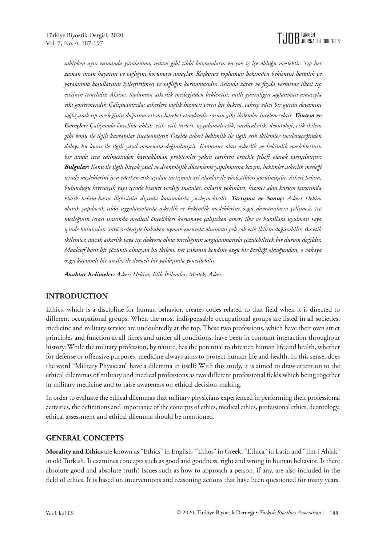

*sahipken aynı zamanda yaralanma, tedavi gibi tıbbi kavramların en çok iç içe olduğu meslektir. Tıp her zaman insan hayatını ve sağlığını korumayı amaçlar. Kuşkusuz toplumun hekimden beklentisi hastalık ve yaralanma koşullarının iyileştirilmesi ve sağlığın korunmasıdır. Aslında zarar ve fayda vermeme ilkesi tıp etiğinin temelidir. Aksine, toplumun askerlik mesleğinden beklentisi, milli güvenliğin sağlanması amacıyla etki göstermesidir. Çalışmamızda; askerlere sağlık hizmeti veren bir hekim, tahrip edici bir gücün devamını sağlayarak tıp mesleğinin doğasına zıt mı hareket etmektedir sorusu gibi ikilemler incelenecektir. Yöntem ve Gereçler: Çalışmada öncelikle ahlak, etik, etik türleri, uygulamalı etik, medical etik, deontoloji, etik ikilem gibi konu ile ilgili kavramlar incelenmiştir. Özelde askeri hekimlik ile ilgili etik ikilemler inceleneceğinden dolayı bu konu ile ilgili yasal mevzuata değinilmiştir. Konumuz olan askerlik ve hekimlik mesleklerinin bir arada icra edilmesinden kaynaklanan problemler yakın tarihten örnekle felsefi olarak tartışılmıştır. Bulgular: Konu ile ilgili birçok yasal ve deontolojik düzenleme yapılmasına karşın, hekimler askerlik mesleği içinde mesleklerini icra ederken etik açıdan tartışmalı gri alanlar ile yüzleştikleri görülmüştür. Askeri hekim; bulunduğu hiyerarşik yapı içinde hizmet verdiği insanlar, onların yakınları, hizmet alan kurum karşısında klasik hekim-hasta ilişkisinin dışında konumlarla yüzleşmektedir. Tartışma ve Sonuç: Askeri Hekim olarak yapılacak tıbbi uygulamalarda askerlik ve hekimlik mesleklerine özgü davranışların çelişmesi, tıp mesleğinin icrası sırasında medical öncelikleri korumaya çalışırken askeri ilke ve kurallara uyulması veya içinde bulunulan statü nedeniyle hukuken uymak zorunda olunması pek çok etik ikilem doğurabilir. Bu etik ikilemler, ancak askerlik veya tıp doktoru olma önceliğinin sorgulanmasıyla çözülebilecek bir durum değildir. Maalesef basit bir çözümü olmayan bu ikilem, her vakanın kendine özgü bir özelliği olduğundan, o vakaya özgü kapsamlı bir analiz ile dengeli bir yaklaşımla yönetilebilir.*

*Anahtar Kelimeler: Askeri Hekim; Etik İkilemler; Meslek; Asker*

# **INTRODUCTION**

Ethics, which is a discipline for human behavior, creates codes related to that field when it is directed to different occupational groups. When the most indispensable occupational groups are listed in all societies, medicine and military service are undoubtedly at the top. These two professions, which have their own strict principles and function at all times and under all conditions, have been in constant interaction throughout history. While the military profession, by nature, has the potential to threaten human life and health, whether for defense or offensive purposes, medicine always aims to protect human life and health. In this sense, does the word "Military Physician" have a dilemma in itself? With this study, it is aimed to draw attention to the ethical dilemmas of military and medical professions as two different professional fields which being together in military medicine and to raise awareness on ethical decision-making.

In order to evaluate the ethical dilemmas that military physicians experienced in performing their professional activities, the definitions and importance of the concepts of ethics, medical ethics, professional ethics, deontology, ethical assessment and ethical dilemma should be mentioned.

#### **GENERAL CONCEPTS**

**Morality and Ethics** are known as "Ethics" in English, "Ethos" in Greek, "Ethica" in Latin and "İlm-i Ahlak" in old Turkish. It examines concepts such as good and goodness, right and wrong in human behavior. Is there absolute good and absolute truth? Issues such as how to approach a person, if any, are also included in the field of ethics. It is based on interventions and reasoning actions that have been questioned for many years.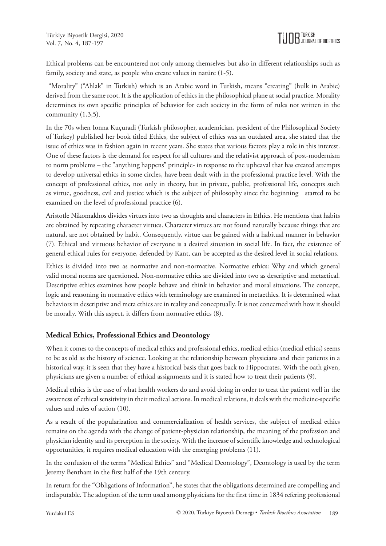Ethical problems can be encountered not only among themselves but also in different relationships such as family, society and state, as people who create values in natüre (1-5).

 "Morality" ("Ahlak" in Turkish) which is an Arabic word in Turkish, means "creating" (hulk in Arabic) derived from the same root. It is the application of ethics in the philosophical plane at social practice. Morality determines its own specific principles of behavior for each society in the form of rules not written in the community  $(1,3,5)$ .

In the 70s when Ionna Kuçuradi (Turkish philosopher, academician, president of the Philosophical Society of Turkey) published her book titled Ethics, the subject of ethics was an outdated area, she stated that the issue of ethics was in fashion again in recent years. She states that various factors play a role in this interest. One of these factors is the demand for respect for all cultures and the relativist approach of post-modernism to norm problems – the "anything happens" principle- in response to the upheaval that has created attempts to develop universal ethics in some circles, have been dealt with in the professional practice level. With the concept of professional ethics, not only in theory, but in private, public, professional life, concepts such as virtue, goodness, evil and justice which is the subject of philosophy since the beginning started to be examined on the level of professional practice (6).

Aristotle Nikomakhos divides virtues into two as thoughts and characters in Ethics. He mentions that habits are obtained by repeating character virtues. Character virtues are not found naturally because things that are natural, are not obtained by habit. Consequently, virtue can be gained with a habitual manner in behavior (7). Ethical and virtuous behavior of everyone is a desired situation in social life. In fact, the existence of general ethical rules for everyone, defended by Kant, can be accepted as the desired level in social relations.

Ethics is divided into two as normative and non-normative. Normative ethics: Why and which general valid moral norms are questioned. Non-normative ethics are divided into two as descriptive and metaetical. Descriptive ethics examines how people behave and think in behavior and moral situations. The concept, logic and reasoning in normative ethics with terminology are examined in metaethics. It is determined what behaviors in descriptive and meta ethics are in reality and conceptually. It is not concerned with how it should be morally. With this aspect, it differs from normative ethics (8).

# **Medical Ethics, Professional Ethics and Deontology**

When it comes to the concepts of medical ethics and professional ethics, medical ethics (medical ethics) seems to be as old as the history of science. Looking at the relationship between physicians and their patients in a historical way, it is seen that they have a historical basis that goes back to Hippocrates. With the oath given, physicians are given a number of ethical assignments and it is stated how to treat their patients (9).

Medical ethics is the case of what health workers do and avoid doing in order to treat the patient well in the awareness of ethical sensitivity in their medical actions. In medical relations, it deals with the medicine-specific values and rules of action (10).

As a result of the popularization and commercialization of health services, the subject of medical ethics remains on the agenda with the change of patient-physician relationship, the meaning of the profession and physician identity and its perception in the society. With the increase of scientific knowledge and technological opportunities, it requires medical education with the emerging problems (11).

In the confusion of the terms "Medical Ethics" and "Medical Deontology", Deontology is used by the term Jeremy Bentham in the first half of the 19th century.

In return for the "Obligations of Information", he states that the obligations determined are compelling and indisputable. The adoption of the term used among physicians for the first time in 1834 refering professional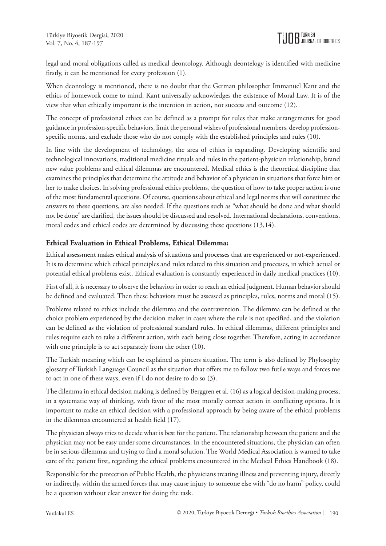legal and moral obligations called as medical deontology. Although deontelogy is identified with medicine firstly, it can be mentioned for every profession (1).

When deontology is mentioned, there is no doubt that the German philosopher Immanuel Kant and the ethics of homework come to mind. Kant universally acknowledges the existence of Moral Law. It is of the view that what ethically important is the intention in action, not success and outcome (12).

The concept of professional ethics can be defined as a prompt for rules that make arrangements for good guidance in profession-specific behaviors, limit the personal wishes of professional members, develop professionspecific norms, and exclude those who do not comply with the established principles and rules (10).

In line with the development of technology, the area of ethics is expanding. Developing scientific and technological innovations, traditional medicine rituals and rules in the patient-physician relationship, brand new value problems and ethical dilemmas are encountered. Medical ethics is the theoretical discipline that examines the principles that determine the attitude and behavior of a physician in situations that force him or her to make choices. In solving professional ethics problems, the question of how to take proper action is one of the most fundamental questions. Of course, questions about ethical and legal norms that will constitute the answers to these questions, are also needed. If the questions such as "what should be done and what should not be done" are clarified, the issues should be discussed and resolved. International declarations, conventions, moral codes and ethical codes are determined by discussing these questions (13,14).

## **Ethical Evaluation in Ethical Problems, Ethical Dilemma:**

Ethical assessment makes ethical analysis of situations and processes that are experienced or not-experienced. It is to determine which ethical principles and rules related to this situation and processes, in which actual or potential ethical problems exist. Ethical evaluation is constantly experienced in daily medical practices (10).

First of all, it is necessary to observe the behaviors in order to reach an ethical judgment. Human behavior should be defined and evaluated. Then these behaviors must be assessed as principles, rules, norms and moral (15).

Problems related to ethics include the dilemma and the contravention. The dilemma can be defined as the choice problem experienced by the decision maker in cases where the rule is not specified, and the violation can be defined as the violation of professional standard rules. In ethical dilemmas, different principles and rules require each to take a different action, with each being close together. Therefore, acting in accordance with one principle is to act separately from the other (10).

The Turkish meaning which can be explained as pincers situation. The term is also defined by Phylosophy glossary of Turkish Language Council as the situation that offers me to follow two futile ways and forces me to act in one of these ways, even if I do not desire to do so (3).

The dilemma in ethical decision making is defined by Berggren et al. (16) as a logical decision-making process, in a systematic way of thinking, with favor of the most morally correct action in conflicting options. It is important to make an ethical decision with a professional approach by being aware of the ethical problems in the dilemmas encountered at health field (17).

The physician always tries to decide what is best for the patient. The relationship between the patient and the physician may not be easy under some circumstances. In the encountered situations, the physician can often be in serious dilemmas and trying to find a moral solution. The World Medical Association is warned to take care of the patient first, regarding the ethical problems encountered in the Medical Ethics Handbook (18).

Responsible for the protection of Public Health, the physicians treating illness and preventing injury, directly or indirectly, within the armed forces that may cause injury to someone else with "do no harm" policy, could be a question without clear answer for doing the task.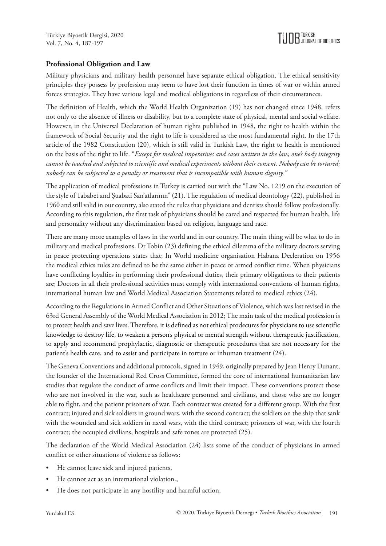#### **Professional Obligation and Law**

Military physicians and military health personnel have separate ethical obligation. The ethical sensitivity principles they possess by profession may seem to have lost their function in times of war or within armed forces strategies. They have various legal and medical obligations in regardless of their circumstances.

The definition of Health, which the World Health Organization (19) has not changed since 1948, refers not only to the absence of illness or disability, but to a complete state of physical, mental and social welfare. However, in the Universal Declaration of human rights published in 1948, the right to health within the framework of Social Security and the right to life is considered as the most fundamental right. In the 17th article of the 1982 Constitution (20), which is still valid in Turkish Law, the right to health is mentioned on the basis of the right to life. "*Except for medical imperatives and cases written in the law, one's body integrity cannot be touched and subjected to scientific and medical experiments without their consent. Nobody can be tortured; nobody can be subjected to a penalty or treatment that is incompatible with human dignity."* 

The application of medical professions in Turkey is carried out with the "Law No. 1219 on the execution of the style of Tababet and Şuabati San'atlarının" (21). The regulation of medical deontology (22), published in 1960 and still valid in our country, also stated the rules that physicians and dentists should follow professionally. According to this regulation, the first task of physicians should be cared and respected for human health, life and personality without any discrimination based on religion, language and race.

There are many more examples of laws in the world and in our country. The main thing will be what to do in military and medical professions. Dr Tobin (23) defining the ethical dilemma of the military doctors serving in peace protecting operations states that; In World medicine organisation Habana Decleration on 1956 the medical ethics rules are defined to be the same either in peace or armed conflict time. When physicians have conflicting loyalties in performing their professional duties, their primary obligations to their patients are; Doctors in all their professional activities must comply with international conventions of human rights, international human law and World Medical Association Statements related to medical ethics (24).

According to the Regulations in Armed Conflict and Other Situations of Violence, which was last revised in the 63rd General Assembly of the World Medical Association in 2012; The main task of the medical profession is to protect health and save lives. Therefore, it is defined as not ethical prodecures for physicians to use scientific knowledge to destroy life, to weaken a person's physical or mental strength without therapeutic justification, to apply and recommend prophylactic, diagnostic or therapeutic procedures that are not necessary for the patient's health care, and to assist and participate in torture or inhuman treatment (24).

The Geneva Conventions and additional protocols, signed in 1949, originally prepared by Jean Henry Dunant, the founder of the International Red Cross Committee, formed the core of international humanitarian law studies that regulate the conduct of arme conflicts and limit their impact. These conventions protect those who are not involved in the war, such as healthcare personnel and civilians, and those who are no longer able to fight, and the patient prisoners of war. Each contract was created for a different group. With the first contract; injured and sick soldiers in ground wars, with the second contract; the soldiers on the ship that sank with the wounded and sick soldiers in naval wars, with the third contract; prisoners of war, with the fourth contract; the occupied civilians, hospitals and safe zones are protected (25).

The declaration of the World Medical Association (24) lists some of the conduct of physicians in armed conflict or other situations of violence as follows:

- He cannot leave sick and injured patients,
- He cannot act as an international violation.,
- He does not participate in any hostility and harmful action.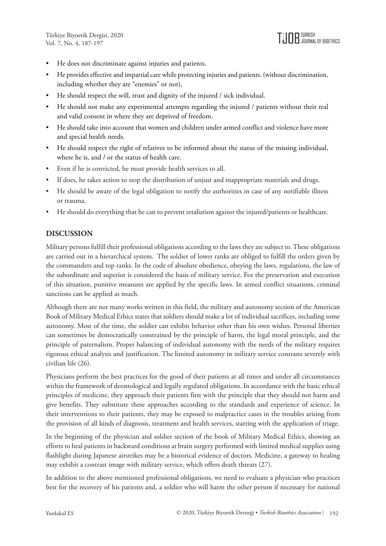- He does not discriminate against injuries and patients.
- He provides effective and impartial care while protecting injuries and patients. (without discrimination, including whether they are "enemies" or not),
- He should respect the will, trust and dignity of the injured / sick individual.
- He should not make any experimental attempts regarding the injured / patients without their real and valid consent in where they are deprived of freedom.
- He should take into account that women and children under armed conflict and violence have more and special health needs.
- He should respect the right of relatives to be informed about the status of the missing individual, where he is, and / or the status of health care.
- Even if he is convicted, he must provide health services to all.
- If does, he takes action to stop the distribution of unjust and inappropriate materials and drugs.
- He should be aware of the legal obligation to notify the authorities in case of any notifiable illness or trauma.
- He should do everything that he can to prevent retaliation against the injured/patients or healthcare.

## **DISCUSSION**

Military persons fulfill their professional obligations according to the laws they are subject to. These obligations are carried out in a hierarchical system. The soldier of lower ranks are obliged to fulfill the orders given by the commanders and top ranks. In the code of absolute obedience, obeying the laws, regulations, the law of the subordinate and superior is considered the basis of military service. For the preservation and execution of this situation, punitive measures are applied by the specific laws. In armed conflict situations, criminal sanctions can be applied as much.

Although there are not many works written in this field, the military and autonomy section of the American Book of Military Medical Ethics states that soldiers should make a lot of individual sacrifices, including some autonomy. Most of the time, the soldier can exhibit behavior other than his own wishes. Personal liberties can sometimes be democratically constrained by the principle of harm, the legal moral principle, and the principle of paternalism. Proper balancing of individual autonomy with the needs of the military requires rigorous ethical analysis and justification. The limited autonomy in military service contrasts severely with civilian life (26).

Physicians perform the best practices for the good of their patients at all times and under all circumstances within the framework of deontological and legally regulated obligations. In accordance with the basic ethical principles of medicine, they approach their patients first with the principle that they should not harm and give benefits. They substitute these approaches according to the standards and experience of science. In their interventions to their patients, they may be exposed to malpractice cases in the troubles arising from the provision of all kinds of diagnosis, treatment and health services, starting with the application of triage.

In the beginning of the physician and soldier section of the book of Military Medical Ethics, showing an efforts to heal patients in backward conditions at brain surgery performed with limited medical supplies using flashlight during Japanese airstrikes may be a historical evidence of doctors. Medicine, a gateway to healing may exhibit a contrast image with military service, which offers death threats (27).

In addition to the above mentioned professional obligations, we need to evaluate a physician who practices best for the recovery of his patients and, a soldier who will harm the other person if necessary for national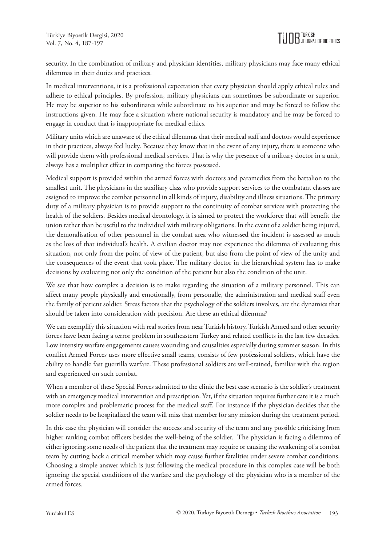security. In the combination of military and physician identities, military physicians may face many ethical dilemmas in their duties and practices.

In medical interventions, it is a professional expectation that every physician should apply ethical rules and adhere to ethical principles. By profession, military physicians can sometimes be subordinate or superior. He may be superior to his subordinates while subordinate to his superior and may be forced to follow the instructions given. He may face a situation where national security is mandatory and he may be forced to engage in conduct that is inappropriate for medical ethics.

Military units which are unaware of the ethical dilemmas that their medical staff and doctors would experience in their practices, always feel lucky. Because they know that in the event of any injury, there is someone who will provide them with professional medical services. That is why the presence of a military doctor in a unit, always has a multiplier effect in comparing the forces possessed.

Medical support is provided within the armed forces with doctors and paramedics from the battalion to the smallest unit. The physicians in the auxiliary class who provide support services to the combatant classes are assigned to improve the combat personnel in all kinds of injury, disability and illness situations. The primary duty of a military physician is to provide support to the continuity of combat services with protecting the health of the soldiers. Besides medical deontology, it is aimed to protect the workforce that will benefit the union rather than be useful to the individual with military obligations. In the event of a soldier being injured, the demoralisation of other personnel in the combat area who witnessed the incident is assessed as much as the loss of that individual's health. A civilian doctor may not experience the dilemma of evaluating this situation, not only from the point of view of the patient, but also from the point of view of the unity and the consequences of the event that took place. The military doctor in the hierarchical system has to make decisions by evaluating not only the condition of the patient but also the condition of the unit.

We see that how complex a decision is to make regarding the situation of a military personnel. This can affect many people physically and emotionally, from personalle, the administration and medical staff even the family of patient soldier. Stress factors that the psychology of the soldiers involves, are the dynamics that should be taken into consideration with precision. Are these an ethical dilemma?

We can exemplify this situation with real stories from near Turkish history. Turkish Armed and other security forces have been facing a terror problem in southeastern Turkey and related conflicts in the last few decades. Low intensity warfare engagements causes wounding and causalities especially during summer season. In this conflict Armed Forces uses more effective small teams, consists of few professional soldiers, which have the ability to handle fast guerrilla warfare. These professional soldiers are well-trained, familiar with the region and experienced on such combat.

When a member of these Special Forces admitted to the clinic the best case scenario is the soldier's treatment with an emergency medical intervention and prescription. Yet, if the situation requires further care it is a much more complex and problematic process for the medical staff. For instance if the physician decides that the soldier needs to be hospitalized the team will miss that member for any mission during the treatment period.

In this case the physician will consider the success and security of the team and any possible criticizing from higher ranking combat officers besides the well-being of the soldier. The physician is facing a dilemma of either ignoring some needs of the patient that the treatment may require or causing the weakening of a combat team by cutting back a critical member which may cause further fatalities under severe combat conditions. Choosing a simple answer which is just following the medical procedure in this complex case will be both ignoring the special conditions of the warfare and the psychology of the physician who is a member of the armed forces.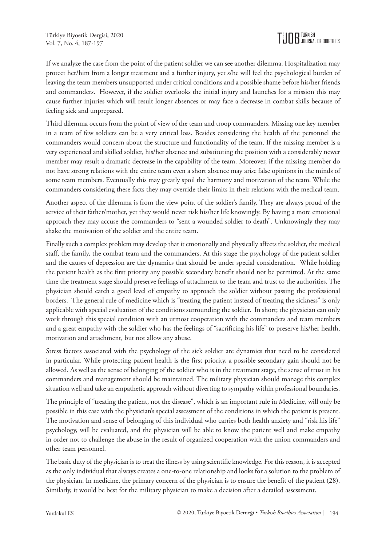If we analyze the case from the point of the patient soldier we can see another dilemma. Hospitalization may protect her/him from a longer treatment and a further injury, yet s/he will feel the psychological burden of leaving the team members unsupported under critical conditions and a possible shame before his/her friends and commanders. However, if the soldier overlooks the initial injury and launches for a mission this may cause further injuries which will result longer absences or may face a decrease in combat skills because of feeling sick and unprepared.

Third dilemma occurs from the point of view of the team and troop commanders. Missing one key member in a team of few soldiers can be a very critical loss. Besides considering the health of the personnel the commanders would concern about the structure and functionality of the team. If the missing member is a very experienced and skilled soldier, his/her absence and substituting the position with a considerably newer member may result a dramatic decrease in the capability of the team. Moreover, if the missing member do not have strong relations with the entire team even a short absence may arise false opinions in the minds of some team members. Eventually this may greatly spoil the harmony and motivation of the team. While the commanders considering these facts they may override their limits in their relations with the medical team.

Another aspect of the dilemma is from the view point of the soldier's family. They are always proud of the service of their father/mother, yet they would never risk his/her life knowingly. By having a more emotional approach they may accuse the commanders to "sent a wounded soldier to death". Unknowingly they may shake the motivation of the soldier and the entire team.

Finally such a complex problem may develop that it emotionally and physically affects the soldier, the medical staff, the family, the combat team and the commanders. At this stage the psychology of the patient soldier and the causes of depression are the dynamics that should be under special consideration. While holding the patient health as the first priority any possible secondary benefit should not be permitted. At the same time the treatment stage should preserve feelings of attachment to the team and trust to the authorities. The physician should catch a good level of empathy to approach the soldier without passing the professional borders. The general rule of medicine which is "treating the patient instead of treating the sickness" is only applicable with special evaluation of the conditions surrounding the soldier. In short; the physician can only work through this special condition with an utmost cooperation with the commanders and team members and a great empathy with the soldier who has the feelings of "sacrificing his life" to preserve his/her health, motivation and attachment, but not allow any abuse.

Stress factors associated with the psychology of the sick soldier are dynamics that need to be considered in particular. While protecting patient health is the first priority, a possible secondary gain should not be allowed. As well as the sense of belonging of the soldier who is in the treatment stage, the sense of trust in his commanders and management should be maintained. The military physician should manage this complex situation well and take an empathetic approach without diverting to sympathy within professional boundaries.

The principle of "treating the patient, not the disease", which is an important rule in Medicine, will only be possible in this case with the physician's special assessment of the conditions in which the patient is present. The motivation and sense of belonging of this individual who carries both health anxiety and "risk his life" psychology, will be evaluated, and the physician will be able to know the patient well and make empathy in order not to challenge the abuse in the result of organized cooperation with the union commanders and other team personnel.

The basic duty of the physician is to treat the illness by using scientific knowledge. For this reason, it is accepted as the only individual that always creates a one-to-one relationship and looks for a solution to the problem of the physician. In medicine, the primary concern of the physician is to ensure the benefit of the patient (28). Similarly, it would be best for the military physician to make a decision after a detailed assessment.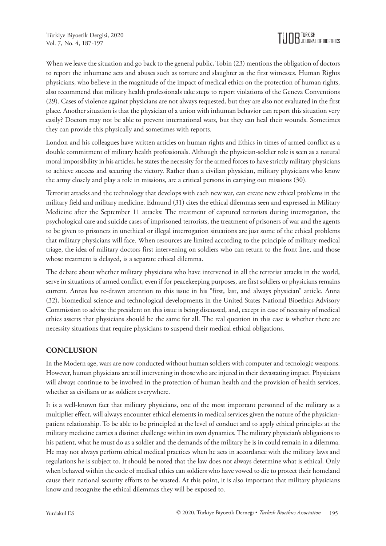When we leave the situation and go back to the general public, Tobin (23) mentions the obligation of doctors to report the inhumane acts and abuses such as torture and slaughter as the first witnesses. Human Rights physicians, who believe in the magnitude of the impact of medical ethics on the protection of human rights, also recommend that military health professionals take steps to report violations of the Geneva Conventions (29). Cases of violence against physicians are not always requested, but they are also not evaluated in the first place. Another situation is that the physician of a union with inhuman behavior can report this situation very easily? Doctors may not be able to prevent international wars, but they can heal their wounds. Sometimes they can provide this physically and sometimes with reports.

London and his colleagues have written articles on human rights and Ethics in times of armed conflict as a double commitment of military health professionals. Although the physician-soldier role is seen as a natural moral impossibility in his articles, he states the necessity for the armed forces to have strictly military physicians to achieve success and securing the victory. Rather than a civilian physician, military physicians who know the army closely and play a role in missions, are a critical persons in carrying out missions (30).

Terrorist attacks and the technology that develops with each new war, can create new ethical problems in the military field and military medicine. Edmund (31) cites the ethical dilemmas seen and expressed in Military Medicine after the September 11 attacks: The treatment of captured terrorists during interrogation, the psychological care and suicide cases of imprisoned terrorists, the treatment of prisoners of war and the agents to be given to prisoners in unethical or illegal interrogation situations are just some of the ethical problems that military physicians will face. When resources are limited according to the principle of military medical triage, the idea of military doctors first intervening on soldiers who can return to the front line, and those whose treatment is delayed, is a separate ethical dilemma.

The debate about whether military physicians who have intervened in all the terrorist attacks in the world, serve in situations of armed conflict, even if for peacekeeping purposes, are first soldiers or physicians remains current. Annas has re-drawn attention to this issue in his "first, last, and always physician" article. Anna (32), biomedical science and technological developments in the United States National Bioethics Advisory Commission to advise the president on this issue is being discussed, and, except in case of necessity of medical ethics asserts that physicians should be the same for all. The real question in this case is whether there are necessity situations that require physicians to suspend their medical ethical obligations.

# **CONCLUSION**

In the Modern age, wars are now conducted without human soldiers with computer and tecnologic weapons. However, human physicians are still intervening in those who are injured in their devastating impact. Physicians will always continue to be involved in the protection of human health and the provision of health services, whether as civilians or as soldiers everywhere.

It is a well-known fact that military physicians, one of the most important personnel of the military as a multiplier effect, will always encounter ethical elements in medical services given the nature of the physicianpatient relationship. To be able to be principled at the level of conduct and to apply ethical principles at the military medicine carries a distinct challenge within its own dynamics. The military physician's obligations to his patient, what he must do as a soldier and the demands of the military he is in could remain in a dilemma. He may not always perform ethical medical practices when he acts in accordance with the military laws and regulations he is subject to. It should be noted that the law does not always determine what is ethical. Only when behaved within the code of medical ethics can soldiers who have vowed to die to protect their homeland cause their national security efforts to be wasted. At this point, it is also important that military physicians know and recognize the ethical dilemmas they will be exposed to.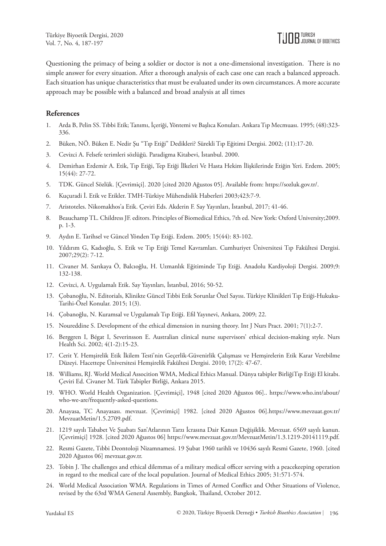Questioning the primacy of being a soldier or doctor is not a one-dimensional investigation. There is no simple answer for every situation. After a thorough analysis of each case one can reach a balanced approach. Each situation has unique characteristics that must be evaluated under its own circumstances. A more accurate approach may be possible with a balanced and broad analysis at all times

#### **References**

- 1. Arda B, Pelin SS. Tıbbi Etik; Tanımı, İçeriği, Yöntemi ve Başlıca Konuları. Ankara Tıp Mecmuası. 1995; (48):323- 336.
- 2. Büken, NÖ. Büken E. Nedir Şu "Tıp Etiği" Dedikleri? Sürekli Tıp Eğitimi Dergisi. 2002; (11):17-20.
- 3. Cevizci A. Felsefe terimleri sözlüğü. Paradigma Kitabevi, İstanbul. 2000.
- 4. Demirhan Erdemir A. Etik, Tıp Etiği, Tep Etiği İlkeleri Ve Hasta Hekim İlişkilerinde Etiğin Yeri. Erdem. 2005; 15(44): 27-72.
- 5. TDK. Güncel Sözlük. [Çevrimiçi]. 2020 [cited 2020 Ağustos 05]. Available from:<https://sozluk.gov.tr/>.
- 6. Kuçuradi İ. Etik ve Etikler. TMH-Türkiye Mühendislik Haberleri 2003;423:7-9.
- 7. Aristoteles. Nikomakhos'a Etik. Çeviri Eds. Akderin F. Say Yayınları, İstanbul, 2017; 41-46.
- 8. Beauchamp TL. Childress JF. editors. Principles of Biomedical Ethics, 7th ed. New York: Oxford University;2009. p. 1-3.
- 9. Aydın E. Tarihsel ve Güncel Yönden Tıp Etiği. Erdem. 2005; 15(44): 83-102.
- 10. Yıldırım G, Kadıoğlu, S. Etik ve Tıp Etiği Temel Kavramları. Cumhuriyet Üniversitesi Tıp Fakültesi Dergisi. 2007;29(2): 7-12.
- 11. Civaner M. Sarıkaya Ö, Balcıoğlu, H. Uzmanlık Eğitiminde Tıp Etiği. Anadolu Kardiyoloji Dergisi. 2009;9: 132-138.
- 12. Cevizci, A. Uygulamalı Etik. Say Yayınları, İstanbul, 2016; 50-52.
- 13. Çobanoğlu, N. Editorials, Klinikte Güncel Tıbbi Etik Sorunlar Özel Sayısı. Türkiye Klinikleri Tıp Etiği-Hukuku-Tarihi-Özel Konular. 2015; 1(3).
- 14. Çobanoğlu, N. Kuramsal ve Uygulamalı Tıp Etiği. Efil Yayınevi, Ankara, 2009; 22.
- 15. Noureddine S. Development of the ethical dimension in nursing theory. Int J Nurs Pract. 2001; 7(1):2-7.
- 16. Berggren I, Bégat I, Severinsson E. Australian clinical nurse supervisors' ethical decision-making style. Nurs Health Sci. 2002; 4(1-2):15-23.
- 17. Cerit Y. Hemşirelik Etik İkilem Testi'nin Geçerlik-Güvenirlik Çalışması ve Hemşirelerin Etik Karar Verebilme Düzeyi. Hacettepe Üniversitesi Hemşirelik Fakültesi Dergisi. 2010; 17(2): 47-67.
- 18. Williams, RJ. World Medical Assocition WMA, Medical Ethics Manual. Dünya tabipler BirliğiTıp Etiği El kitabı. Çeviri Ed. Civaner M. Türk Tabipler Birliği, Ankara 2015.
- 19. WHO. World Health Organization. [Çevrimiçi], 1948 [cited 2020 Ağustos 06].. [https://www.who.int/about/](https://www.who.int/about/who-we-are/frequently-asked-questions) [who-we-are/frequently-asked-questions.](https://www.who.int/about/who-we-are/frequently-asked-questions)
- 20. Anayasa, TC Anayasası. mevzuat. [Çevrimiçi] 1982. [cited 2020 Ağustos 06].[https://www.mevzuat.gov.tr/](https://www.mevzuat.gov.tr/MevzuatMetin/1.5.2709.pdf) [MevzuatMetin/1.5.2709.pdf](https://www.mevzuat.gov.tr/MevzuatMetin/1.5.2709.pdf).
- 21. 1219 sayılı Tababet Ve Şuabatı San'Atlarının Tarzı İcrasına Dair Kanun Değişiklik. Mevzuat. 6569 sayılı kanun. [Çevrimiçi] 1928. [cited 2020 Ağustos 06] [https://www.mevzuat.gov.tr/MevzuatMetin/1.3.1219-20141119.pdf.](https://www.mevzuat.gov.tr/MevzuatMetin/1.3.1219-20141119.pdf)
- 22. Resmi Gazete, Tıbbi Deontoloji Nizamnamesi. 19 Şubat 1960 tarihli ve 10436 sayılı Resmi Gazete, 1960. [cited 2020 Ağustos 06] mevzuat.gov.tr.
- 23. Tobin J. The challenges and ethical dilemmas of a military medical officer serving with a peacekeeping operation in regard to the medical care of the local population. Journal of Medical Ethics 2005; 31:571-574.
- 24. World Medical Association WMA. Regulations in Times of Armed Conflict and Other Situations of Violence, revised by the 63rd WMA General Assembly, Bangkok, Thailand, October 2012.